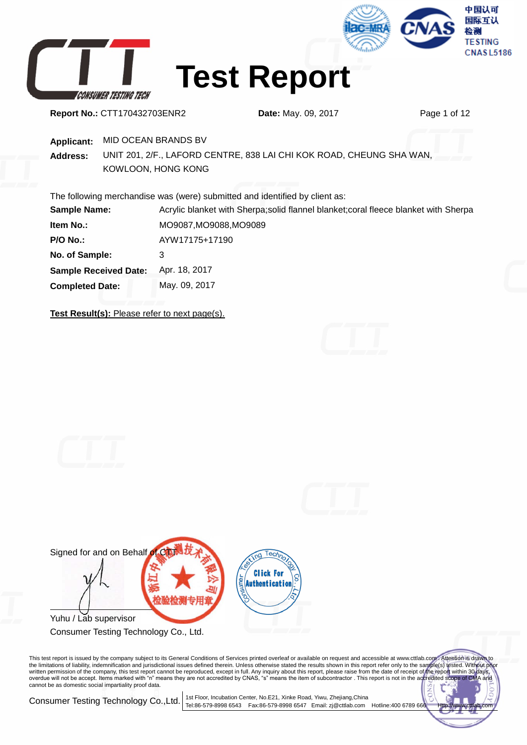





**Test Report**

**Report No.:** CTT170432703ENR2 **Date:** May. 09, 2017 Page 1 of 12

**Applicant:** MID OCEAN BRANDS BV

**Address:** UNIT 201, 2/F., LAFORD CENTRE, 838 LAI CHI KOK ROAD, CHEUNG SHA WAN, KOWLOON, HONG KONG

The following merchandise was (were) submitted and identified by client as:

| <b>Sample Name:</b>          | Acrylic blanket with Sherpa; solid flannel blanket; coral fleece blanket with Sherpa |
|------------------------------|--------------------------------------------------------------------------------------|
| <b>Item No.:</b>             | MO9087, MO9088, MO9089                                                               |
| <b>P/O No.:</b>              | AYW17175+17190                                                                       |
| No. of Sample:               | 3                                                                                    |
| <b>Sample Received Date:</b> | Apr. 18, 2017                                                                        |
| <b>Completed Date:</b>       | May. 09, 2017                                                                        |

**Test Result(s):** Please refer to next page(s).





Consumer Testing Technology Co., Ltd.

This test report is issued by the company subject to its General Conditions of Services printed overleaf or available on request and accessible at www.cttlab.com/. Attention is drawn to<br>the limitations of liability, indemn cannot be as domestic social impartiality proof data.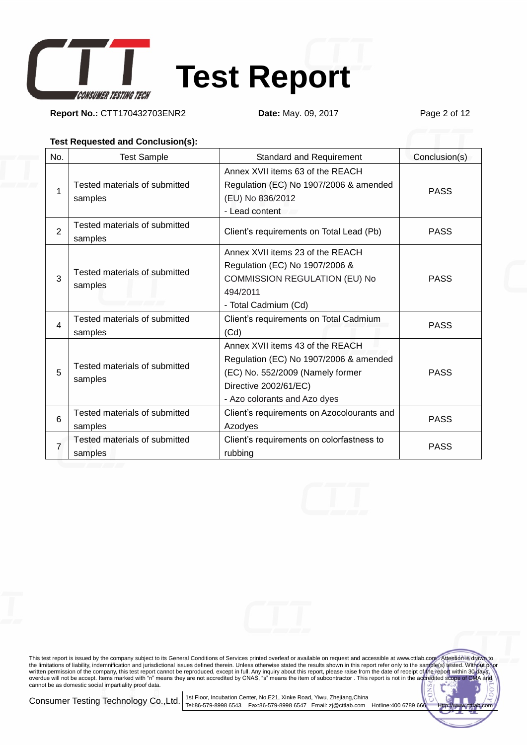

**Report No.:** CTT170432703ENR2 **Date:** May. 09, 2017 Page 2 of 12

#### **Test Requested and Conclusion(s):**

| No.            | <b>Test Sample</b>                       | Standard and Requirement                                                                                                                                                | Conclusion(s) |
|----------------|------------------------------------------|-------------------------------------------------------------------------------------------------------------------------------------------------------------------------|---------------|
| 1              | Tested materials of submitted<br>samples | Annex XVII items 63 of the REACH<br>Regulation (EC) No 1907/2006 & amended<br>(EU) No 836/2012<br>- Lead content                                                        | <b>PASS</b>   |
| $\overline{2}$ | Tested materials of submitted<br>samples | Client's requirements on Total Lead (Pb)                                                                                                                                | <b>PASS</b>   |
| 3              | Tested materials of submitted<br>samples | Annex XVII items 23 of the REACH<br>Regulation (EC) No 1907/2006 &<br>COMMISSION REGULATION (EU) No<br>494/2011<br>- Total Cadmium (Cd)                                 | <b>PASS</b>   |
| 4              | Tested materials of submitted<br>samples | Client's requirements on Total Cadmium<br>(Cd)                                                                                                                          | <b>PASS</b>   |
| 5              | Tested materials of submitted<br>samples | Annex XVII items 43 of the REACH<br>Regulation (EC) No 1907/2006 & amended<br>(EC) No. 552/2009 (Namely former<br>Directive 2002/61/EC)<br>- Azo colorants and Azo dyes | <b>PASS</b>   |
| 6              | Tested materials of submitted<br>samples | Client's requirements on Azocolourants and<br>Azodyes                                                                                                                   | <b>PASS</b>   |
| 7              | Tested materials of submitted<br>samples | Client's requirements on colorfastness to<br>rubbing                                                                                                                    | <b>PASS</b>   |



This test report is issued by the company subject to its General Conditions of Services printed overleaf or available on request and accessible at www.cttlab.com/. Attention is drawn to<br>the limitations of liability, indemn cannot be as domestic social impartiality proof data.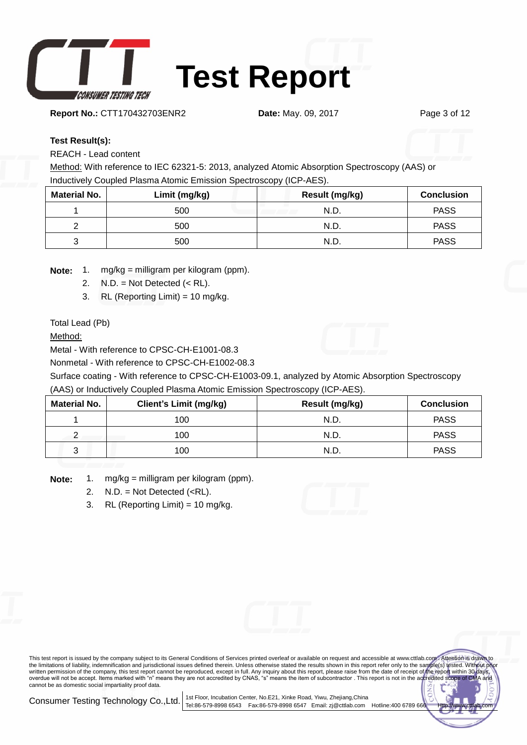

**Report No.:** CTT170432703ENR2 **Date:** May. 09, 2017 Page 3 of 12

#### **Test Result(s):**

REACH - Lead content

Method: With reference to IEC 62321-5: 2013, analyzed Atomic Absorption Spectroscopy (AAS) or Inductively Coupled Plasma Atomic Emission Spectroscopy (ICP-AES).

| <b>Material No.</b> | Limit (mg/kg) | Result (mg/kg) | <b>Conclusion</b> |
|---------------------|---------------|----------------|-------------------|
|                     | 500           | N.D.           | <b>PASS</b>       |
|                     | 500           | N.D.           | <b>PASS</b>       |
|                     | 500           | N.D            | <b>PASS</b>       |

**Note:** 1. mg/kg = milligram per kilogram (ppm).

- 2.  $N.D. = Not detected (< R.L).$
- 3. RL (Reporting Limit) = 10 mg/kg.

Total Lead (Pb)

Method:

Metal - With reference to CPSC-CH-E1001-08.3

Nonmetal - With reference to CPSC-CH-E1002-08.3

Surface coating - With reference to CPSC-CH-E1003-09.1, analyzed by Atomic Absorption Spectroscopy (AAS) or Inductively Coupled Plasma Atomic Emission Spectroscopy (ICP-AES).

| <b>Material No.</b> | <b>Client's Limit (mg/kg)</b> | Result (mg/kg) | <b>Conclusion</b> |
|---------------------|-------------------------------|----------------|-------------------|
|                     | 100                           | N.D.           | <b>PASS</b>       |
|                     | 100                           | N.D.           | <b>PASS</b>       |
| ົ<br>J              | 100                           | N.D            | <b>PASS</b>       |

**Note:** 1. mg/kg = milligram per kilogram (ppm).

- 2.  $N.D. = Not detected ().$
- 3. RL (Reporting Limit) = 10 mg/kg.

This test report is issued by the company subject to its General Conditions of Services printed overleaf or available on request and accessible at www.cttlab.com . Attention is drawn to the limitations of liability, indemnification and jurisdictional issues defined therein. Unless otherwise stated the results shown in this report refer only to the sample(s) tested. Without written permission of the company, this test report cannot be reproduced, except in full. Any inquiry about this report, please raise from the date of receipt of the report within 30 days,<br>overdue will not be accept. Items cannot be as domestic social impartiality proof data.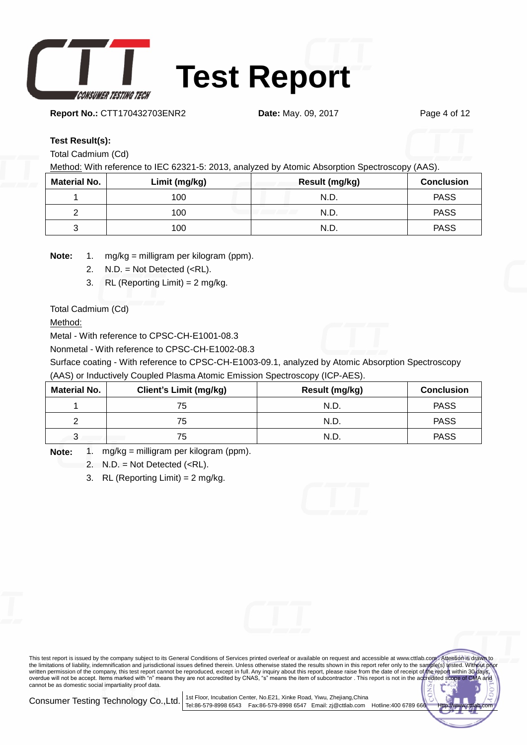

**Report No.:** CTT170432703ENR2 **Date:** May. 09, 2017 Page 4 of 12

#### **Test Result(s):**

Total Cadmium (Cd)

Method: With reference to IEC 62321-5: 2013, analyzed by Atomic Absorption Spectroscopy (AAS).

| <b>Material No.</b> | Limit (mg/kg) | Result (mg/kg) | <b>Conclusion</b> |
|---------------------|---------------|----------------|-------------------|
|                     | 100           | N.D.           | <b>PASS</b>       |
|                     | 100           | N.D.           | <b>PASS</b>       |
| ື                   | 100           | N.D.           | <b>PASS</b>       |

**Note:** 1. mg/kg = milligram per kilogram (ppm).

- 2.  $N.D. = Not detected (*RL*).$
- 3. RL (Reporting Limit) = 2 mg/kg.

Total Cadmium (Cd)

Method:

Metal - With reference to CPSC-CH-E1001-08.3

Nonmetal - With reference to CPSC-CH-E1002-08.3

Surface coating - With reference to CPSC-CH-E1003-09.1, analyzed by Atomic Absorption Spectroscopy (AAS) or Inductively Coupled Plasma Atomic Emission Spectroscopy (ICP-AES).

| <b>Material No.</b> | <b>Client's Limit (mg/kg)</b> | Result (mg/kg) | <b>Conclusion</b> |
|---------------------|-------------------------------|----------------|-------------------|
|                     | 75                            | N.D            | <b>PASS</b>       |
|                     | 75                            | N.D            | <b>PASS</b>       |
| ت                   | 75                            | N.D            | <b>PASS</b>       |

**Note:** 1. mg/kg = milligram per kilogram (ppm).

- 2.  $N.D. = Not detected (*RL*).$
- 3. RL (Reporting Limit) =  $2 \text{ mg/kg}$ .

This test report is issued by the company subject to its General Conditions of Services printed overleaf or available on request and accessible at www.cttlab.com . Attention is drawn to the limitations of liability, indemnification and jurisdictional issues defined therein. Unless otherwise stated the results shown in this report refer only to the sample(s) tested. Without written permission of the company, this test report cannot be reproduced, except in full. Any inquiry about this report, please raise from the date of receipt of the report within 30 days,<br>overdue will not be accept. Items cannot be as domestic social impartiality proof data.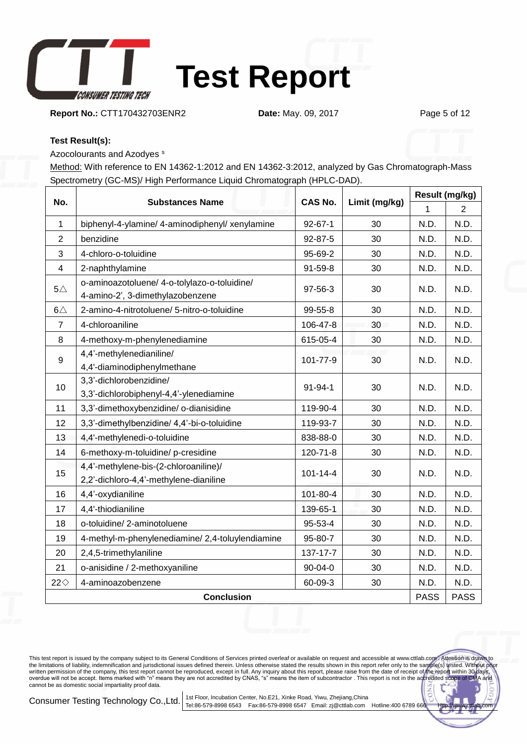

**Report No.:** CTT170432703ENR2 **Date:** May. 09, 2017 Page 5 of 12

#### **Test Result(s):**

Azocolourants and Azodyes <sup>s</sup>

Method: With reference to EN 14362-1:2012 and EN 14362-3:2012, analyzed by Gas Chromatograph-Mass Spectrometry (GC-MS)/ High Performance Liquid Chromatograph (HPLC-DAD).

|                   | <b>Substances Name</b>                                                           | <b>CAS No.</b> |    | Result (mg/kg) |             |
|-------------------|----------------------------------------------------------------------------------|----------------|----|----------------|-------------|
| No.               |                                                                                  | Limit (mg/kg)  |    | 1              | 2           |
| $\mathbf{1}$      | biphenyl-4-ylamine/ 4-aminodiphenyl/ xenylamine                                  | $92 - 67 - 1$  | 30 | N.D.           | N.D.        |
| $\overline{2}$    | benzidine                                                                        | 92-87-5        | 30 | N.D.           | N.D.        |
| 3                 | 4-chloro-o-toluidine                                                             | 95-69-2        | 30 | N.D.           | N.D.        |
| $\overline{4}$    | 2-naphthylamine                                                                  | $91 - 59 - 8$  | 30 | N.D.           | N.D.        |
| $5\triangle$      | o-aminoazotoluene/ 4-o-tolylazo-o-toluidine/<br>4-amino-2', 3-dimethylazobenzene | 97-56-3        | 30 | N.D.           | N.D.        |
| $6\triangle$      | 2-amino-4-nitrotoluene/ 5-nitro-o-toluidine                                      | 99-55-8        | 30 | N.D.           | N.D.        |
| $\overline{7}$    | 4-chloroaniline                                                                  | 106-47-8       | 30 | N.D.           | N.D.        |
| 8                 | 4-methoxy-m-phenylenediamine                                                     | 615-05-4       | 30 | N.D.           | N.D.        |
| 9                 | 4,4'-methylenedianiline/<br>4,4'-diaminodiphenylmethane                          | 101-77-9       | 30 | N.D.           | N.D.        |
| 10                | 3,3'-dichlorobenzidine/<br>3,3'-dichlorobiphenyl-4,4'-ylenediamine               | 91-94-1        | 30 | N.D.           | N.D.        |
| 11                | 3,3'-dimethoxybenzidine/ o-dianisidine                                           | 119-90-4       | 30 | N.D.           | N.D.        |
| 12                | 3,3'-dimethylbenzidine/ 4,4'-bi-o-toluidine                                      | 119-93-7       | 30 | N.D.           | N.D.        |
| 13                | 4,4'-methylenedi-o-toluidine                                                     | 838-88-0       | 30 | N.D.           | N.D.        |
| 14                | 6-methoxy-m-toluidine/p-cresidine                                                | 120-71-8       | 30 | N.D.           | N.D.        |
| 15                | 4,4'-methylene-bis-(2-chloroaniline)/<br>2,2'-dichloro-4,4'-methylene-dianiline  | $101 - 14 - 4$ | 30 | N.D.           | N.D.        |
| 16                | 4,4'-oxydianiline                                                                | 101-80-4       | 30 | N.D.           | N.D.        |
| 17                | 4,4'-thiodianiline                                                               | 139-65-1       | 30 | N.D.           | N.D.        |
| 18                | o-toluidine/2-aminotoluene                                                       | 95-53-4        | 30 | N.D.           | N.D.        |
| 19                | 4-methyl-m-phenylenediamine/2,4-toluylendiamine                                  | 95-80-7        | 30 | N.D.           | N.D.        |
| 20                | 2,4,5-trimethylaniline                                                           | 137-17-7       | 30 | N.D.           | N.D.        |
| 21                | o-anisidine / 2-methoxyaniline                                                   | 90-04-0        | 30 | N.D.           | N.D.        |
| $22 \diamond$     | 4-aminoazobenzene                                                                | 60-09-3        | 30 | N.D.           | N.D.        |
| <b>Conclusion</b> |                                                                                  |                |    | <b>PASS</b>    | <b>PASS</b> |

This test report is issued by the company subject to its General Conditions of Services printed overleaf or available on request and accessible at www.cttlab.com/. Attention is drawn to<br>the limitations of liability, indemn cannot be as domestic social impartiality proof data.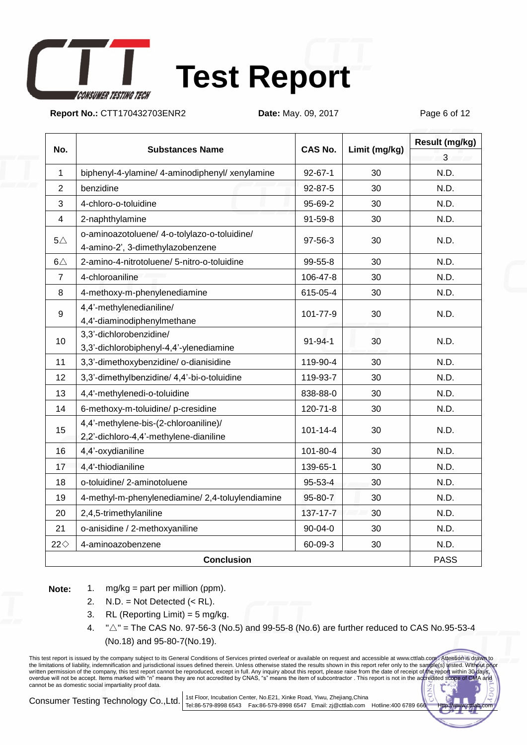

# **Test Report**

**Report No.:** CTT170432703ENR2 **Date:** May. 09, 2017 Page 6 of 12

| No.            | <b>Substances Name</b>                                                           | <b>CAS No.</b> | Limit (mg/kg) | Result (mg/kg) |
|----------------|----------------------------------------------------------------------------------|----------------|---------------|----------------|
|                |                                                                                  |                |               | 3              |
| $\mathbf{1}$   | biphenyl-4-ylamine/ 4-aminodiphenyl/ xenylamine                                  | $92 - 67 - 1$  | 30            | N.D.           |
| $\overline{2}$ | benzidine                                                                        | $92 - 87 - 5$  | 30            | N.D.           |
| 3              | 4-chloro-o-toluidine                                                             | 95-69-2        | 30            | N.D.           |
| $\overline{4}$ | 2-naphthylamine                                                                  | 91-59-8        | 30            | N.D.           |
| $5\triangle$   | o-aminoazotoluene/ 4-o-tolylazo-o-toluidine/<br>4-amino-2', 3-dimethylazobenzene | 97-56-3        | 30            | N.D.           |
| $6\triangle$   | 2-amino-4-nitrotoluene/ 5-nitro-o-toluidine                                      | 99-55-8        | 30            | N.D.           |
| $\overline{7}$ | 4-chloroaniline                                                                  | 106-47-8       | 30            | N.D.           |
| 8              | 4-methoxy-m-phenylenediamine                                                     | 615-05-4       | 30            | N.D.           |
| 9              | 4,4'-methylenedianiline/<br>4,4'-diaminodiphenylmethane                          | 101-77-9       | 30            | N.D.           |
| 10             | 3,3'-dichlorobenzidine/<br>3,3'-dichlorobiphenyl-4,4'-ylenediamine               | $91 - 94 - 1$  | 30            | N.D.           |
| 11             | 3,3'-dimethoxybenzidine/ o-dianisidine                                           | 119-90-4       | 30            | N.D.           |
| 12             | 3,3'-dimethylbenzidine/ 4,4'-bi-o-toluidine                                      | 119-93-7       | 30            | N.D.           |
| 13             | 4,4'-methylenedi-o-toluidine                                                     | 838-88-0       | 30            | N.D.           |
| 14             | 6-methoxy-m-toluidine/p-cresidine                                                | 120-71-8       | 30            | N.D.           |
| 15             | 4,4'-methylene-bis-(2-chloroaniline)/<br>2,2'-dichloro-4,4'-methylene-dianiline  | $101 - 14 - 4$ | 30            | N.D.           |
| 16             | 4,4'-oxydianiline                                                                | 101-80-4       | 30            | N.D.           |
| 17             | 4,4'-thiodianiline                                                               | 139-65-1       | 30            | N.D.           |
| 18             | o-toluidine/2-aminotoluene                                                       | 95-53-4        | 30            | N.D.           |
| 19             | 4-methyl-m-phenylenediamine/ 2,4-toluylendiamine                                 | 95-80-7        | 30            | N.D.           |
| 20             | 2,4,5-trimethylaniline                                                           | 137-17-7       | 30            | N.D.           |
| 21             | o-anisidine / 2-methoxyaniline                                                   | 90-04-0        | 30            | N.D.           |
| $22 \diamond$  | 4-aminoazobenzene                                                                | 60-09-3        | 30            | N.D.           |
|                | <b>Conclusion</b>                                                                |                |               |                |

**Note:** 1. mg/kg = part per million (ppm).

- 2.  $N.D. = Not detected (< R.L).$
- 3. RL (Reporting Limit) =  $5 \text{ mg/kg}$ .
- $4.$  " $\triangle$ " = The CAS No. 97-56-3 (No.5) and 99-55-8 (No.6) are further reduced to CAS No.95-53-4 (No.18) and 95-80-7(No.19).

This test report is issued by the company subject to its General Conditions of Services printed overleaf or available on request and accessible at www.cttlab.com/. Attention is drawn to<br>the limitations of liability, indemn cannot be as domestic social impartiality proof data.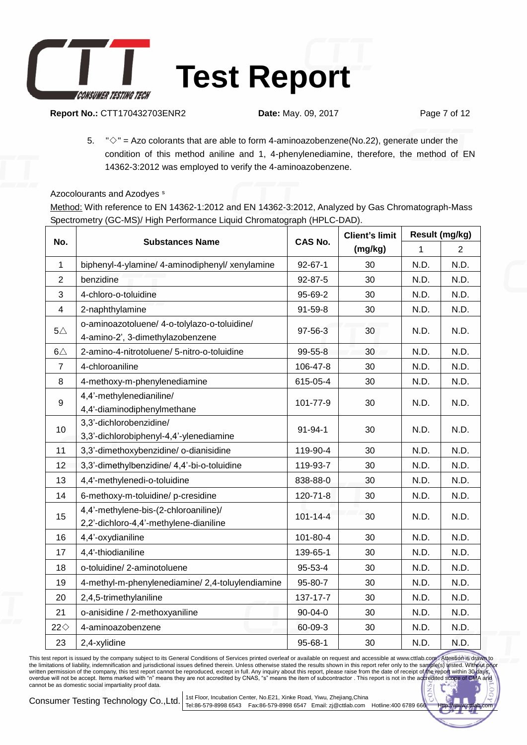

**Report No.:** CTT170432703ENR2 **Date:** May. 09, 2017 Page 7 of 12

5.  $\degree$  = Azo colorants that are able to form 4-aminoazobenzene(No.22), generate under the condition of this method aniline and 1, 4-phenylenediamine, therefore, the method of EN 14362-3:2012 was employed to verify the 4-aminoazobenzene.

Azocolourants and Azodyes<sup>s</sup>

Method: With reference to EN 14362-1:2012 and EN 14362-3:2012, Analyzed by Gas Chromatograph-Mass Spectrometry (GC-MS)/ High Performance Liquid Chromatograph (HPLC-DAD).

|                |                                                                                  | <b>CAS No.</b> | <b>Client's limit</b> | Result (mg/kg) |                |
|----------------|----------------------------------------------------------------------------------|----------------|-----------------------|----------------|----------------|
| No.            | <b>Substances Name</b>                                                           |                | (mg/kg)               | 1              | $\overline{2}$ |
| $\mathbf{1}$   | biphenyl-4-ylamine/ 4-aminodiphenyl/ xenylamine                                  | $92 - 67 - 1$  | 30                    | N.D.           | N.D.           |
| $\overline{2}$ | benzidine                                                                        | 92-87-5        | 30                    | N.D.           | N.D.           |
| 3              | 4-chloro-o-toluidine                                                             | 95-69-2        | 30                    | N.D.           | N.D.           |
| 4              | 2-naphthylamine                                                                  | 91-59-8        | 30                    | N.D.           | N.D.           |
| $5\triangle$   | o-aminoazotoluene/ 4-o-tolylazo-o-toluidine/<br>4-amino-2', 3-dimethylazobenzene | 97-56-3        | 30                    | N.D.           | N.D.           |
| $6\triangle$   | 2-amino-4-nitrotoluene/ 5-nitro-o-toluidine                                      | 99-55-8        | 30                    | N.D.           | N.D.           |
| $\overline{7}$ | 4-chloroaniline                                                                  | 106-47-8       | 30                    | N.D.           | N.D.           |
| 8              | 4-methoxy-m-phenylenediamine                                                     | 615-05-4       | 30                    | N.D.           | N.D.           |
| 9              | 4,4'-methylenedianiline/<br>4,4'-diaminodiphenylmethane                          | 101-77-9       | 30                    | N.D.           | N.D.           |
| 10             | 3,3'-dichlorobenzidine/<br>3,3'-dichlorobiphenyl-4,4'-ylenediamine               | 91-94-1        | 30                    | N.D.           | N.D.           |
| 11             | 3,3'-dimethoxybenzidine/ o-dianisidine                                           | 119-90-4       | 30                    | N.D.           | N.D.           |
| 12             | 3,3'-dimethylbenzidine/ 4,4'-bi-o-toluidine                                      | 119-93-7       | 30                    | N.D.           | N.D.           |
| 13             | 4,4'-methylenedi-o-toluidine                                                     | 838-88-0       | 30                    | N.D.           | N.D.           |
| 14             | 6-methoxy-m-toluidine/p-cresidine                                                | 120-71-8       | 30                    | N.D.           | N.D.           |
| 15             | 4,4'-methylene-bis-(2-chloroaniline)/<br>2,2'-dichloro-4,4'-methylene-dianiline  | $101 - 14 - 4$ | 30                    | N.D.           | N.D.           |
| 16             | 4,4'-oxydianiline                                                                | 101-80-4       | 30                    | N.D.           | N.D.           |
| 17             | 4,4'-thiodianiline                                                               | 139-65-1       | 30                    | N.D.           | N.D.           |
| 18             | o-toluidine/2-aminotoluene                                                       | 95-53-4        | 30                    | N.D.           | N.D.           |
| 19             | 4-methyl-m-phenylenediamine/2,4-toluylendiamine                                  | 95-80-7        | 30                    | N.D.           | N.D.           |
| 20             | 2,4,5-trimethylaniline                                                           | 137-17-7       | 30                    | N.D.           | N.D.           |
| 21             | o-anisidine / 2-methoxyaniline                                                   | 90-04-0        | 30                    | N.D.           | N.D.           |
| $22\diamond$   | 4-aminoazobenzene                                                                | 60-09-3        | 30                    | N.D.           | N.D.           |
| 23             | 2,4-xylidine                                                                     | $95 - 68 - 1$  | 30                    | N.D.           | N.D.           |

This test report is issued by the company subject to its General Conditions of Services printed overleaf or available on request and accessible at www.cttlab.com/. Attention is drawn to<br>the limitations of liability, indemn cannot be as domestic social impartiality proof data.

Consumer Testing Technology Co.,Ltd. 1st Floor, Incubation Center, No.E21, Xinke Road, Yiwu, Zhejiang,China

Tel:86-579-8998 6543 Fax:86-579-8998 6547 Email: zj@cttlab.com Hotline:400 6789 66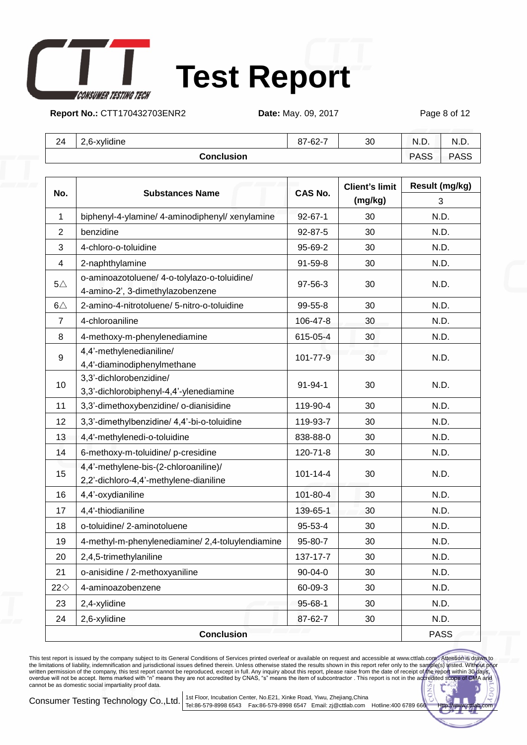

## **Test Report**

**Report No.:** CTT170432703ENR2 **Date:** May. 09, 2017 Page 8 of 12

| 24 | .6-xylidine<br><u>_</u><br>Z.U | 87-62-7 | 30 | $\sim$ $\sim$<br>N.L. | N.L.        |
|----|--------------------------------|---------|----|-----------------------|-------------|
|    | Conclusion                     |         |    | <b>PASS</b>           | <b>PASS</b> |

|               | <b>Substances Name</b>                                                           | <b>CAS No.</b> | <b>Client's limit</b> | Result (mg/kg) |
|---------------|----------------------------------------------------------------------------------|----------------|-----------------------|----------------|
| No.           |                                                                                  |                | (mg/kg)               | 3              |
| 1             | biphenyl-4-ylamine/ 4-aminodiphenyl/ xenylamine                                  | $92 - 67 - 1$  | 30                    | N.D.           |
| 2             | benzidine                                                                        | 92-87-5        | 30                    | N.D.           |
| 3             | 4-chloro-o-toluidine                                                             | 95-69-2        | 30                    | N.D.           |
| 4             | 2-naphthylamine                                                                  | 91-59-8        | 30                    | N.D.           |
| $5\triangle$  | o-aminoazotoluene/ 4-o-tolylazo-o-toluidine/<br>4-amino-2', 3-dimethylazobenzene | 97-56-3        | 30                    | N.D.           |
| $6\triangle$  | 2-amino-4-nitrotoluene/ 5-nitro-o-toluidine                                      | 99-55-8        | 30                    | N.D.           |
| 7             | 4-chloroaniline                                                                  | 106-47-8       | 30                    | N.D.           |
| 8             | 4-methoxy-m-phenylenediamine                                                     | 615-05-4       | 30                    | N.D.           |
| 9             | 4,4'-methylenedianiline/<br>4,4'-diaminodiphenylmethane                          | 101-77-9       | 30                    | N.D.           |
| 10            | 3,3'-dichlorobenzidine/<br>3,3'-dichlorobiphenyl-4,4'-ylenediamine               | 91-94-1        | 30                    | N.D.           |
| 11            | 3,3'-dimethoxybenzidine/ o-dianisidine                                           | 119-90-4       | 30                    | N.D.           |
| 12            | 3,3'-dimethylbenzidine/ 4,4'-bi-o-toluidine                                      | 119-93-7       | 30                    | N.D.           |
| 13            | 4,4'-methylenedi-o-toluidine                                                     | 838-88-0       | 30                    | N.D.           |
| 14            | 6-methoxy-m-toluidine/ p-cresidine                                               | 120-71-8       | 30                    | N.D.           |
| 15            | 4,4'-methylene-bis-(2-chloroaniline)/<br>2,2'-dichloro-4,4'-methylene-dianiline  | $101 - 14 - 4$ | 30                    | N.D.           |
| 16            | 4,4'-oxydianiline                                                                | 101-80-4       | 30                    | N.D.           |
| 17            | 4,4'-thiodianiline                                                               | 139-65-1       | 30                    | N.D.           |
| 18            | o-toluidine/2-aminotoluene                                                       | 95-53-4        | 30                    | N.D.           |
| 19            | 4-methyl-m-phenylenediamine/ 2,4-toluylendiamine                                 | 95-80-7        | 30                    | N.D.           |
| 20            | 2,4,5-trimethylaniline                                                           | 137-17-7       | 30                    | N.D.           |
| 21            | o-anisidine / 2-methoxyaniline                                                   | 90-04-0        | 30                    | N.D.           |
| $22 \diamond$ | 4-aminoazobenzene                                                                | 60-09-3        | 30                    | N.D.           |
| 23            | 2,4-xylidine                                                                     | 95-68-1        | 30                    | N.D.           |
| 24            | 2,6-xylidine                                                                     | 87-62-7        | 30                    | N.D.           |
|               | <b>Conclusion</b>                                                                |                |                       | <b>PASS</b>    |

This test report is issued by the company subject to its General Conditions of Services printed overleaf or available on request and accessible at www.cttlab.com/. Attention is drawn to<br>the limitations of liability, indemn cannot be as domestic social impartiality proof data.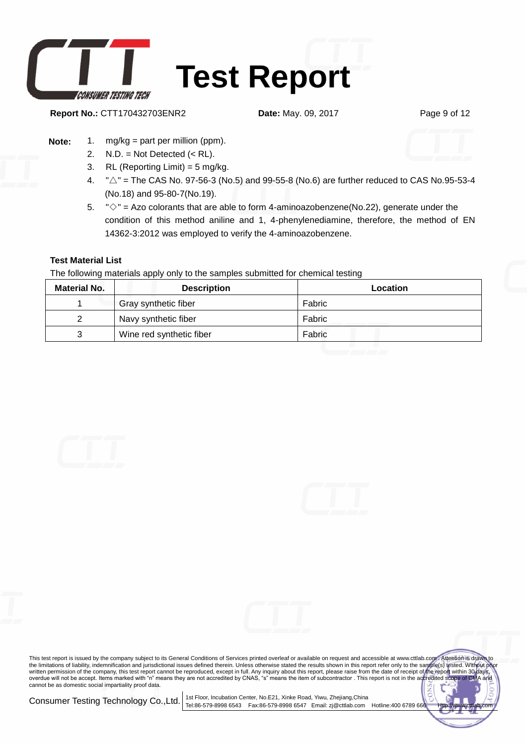

**Report No.:** CTT170432703ENR2 **Date:** May. 09, 2017 Page 9 of 12

#### **Note:** 1. mg/kg = part per million (ppm).

- 2. N.D. = Not Detected (< RL).
- 3. RL (Reporting Limit) = 5 mg/kg.
- 4.  $\sqrt[n]{2}$  = The CAS No. 97-56-3 (No.5) and 99-55-8 (No.6) are further reduced to CAS No.95-53-4 (No.18) and 95-80-7(No.19).
- 5.  $\sqrt{8}$  = Azo colorants that are able to form 4-aminoazobenzene(No.22), generate under the condition of this method aniline and 1, 4-phenylenediamine, therefore, the method of EN 14362-3:2012 was employed to verify the 4-aminoazobenzene.

#### **Test Material List**

The following materials apply only to the samples submitted for chemical testing

| <b>Material No.</b> | <b>Description</b>       | Location |
|---------------------|--------------------------|----------|
|                     | Gray synthetic fiber     | Fabric   |
|                     | Navy synthetic fiber     | Fabric   |
| າ                   | Wine red synthetic fiber | Fabric   |







This test report is issued by the company subject to its General Conditions of Services printed overleaf or available on request and accessible at www.cttlab.com/. Attention is drawn to<br>the limitations of liability, indemn cannot be as domestic social impartiality proof data.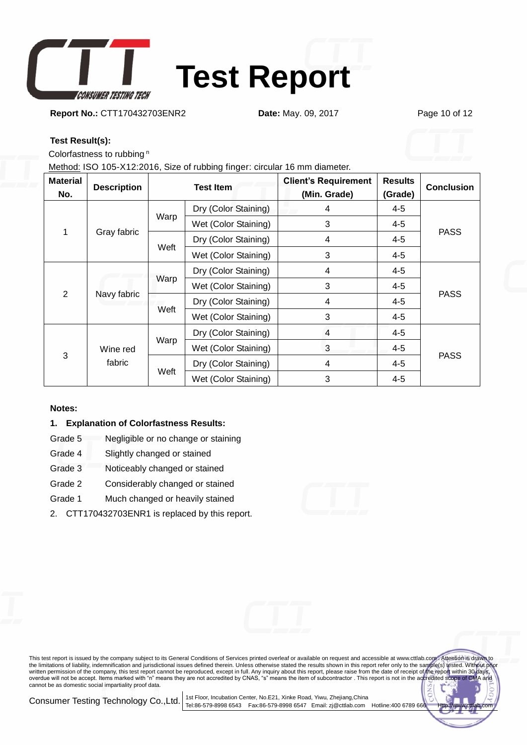

**Report No.:** CTT170432703ENR2 **Date:** May. 09, 2017 Page 10 of 12

### **Test Result(s):**

Colorfastness to rubbing <sup>n</sup>

Method: ISO 105-X12:2016, Size of rubbing finger: circular 16 mm diameter.

| <b>Material</b><br>No. | <b>Description</b> | <b>Test Item</b> |                      | <b>Client's Requirement</b><br>(Min. Grade) | <b>Results</b><br>(Grade) | <b>Conclusion</b> |
|------------------------|--------------------|------------------|----------------------|---------------------------------------------|---------------------------|-------------------|
| 1                      | Gray fabric        | Warp             | Dry (Color Staining) | 4                                           | $4 - 5$                   | <b>PASS</b>       |
|                        |                    |                  | Wet (Color Staining) | 3                                           | $4 - 5$                   |                   |
|                        |                    | Weft             | Dry (Color Staining) | 4                                           | 4-5                       |                   |
|                        |                    |                  | Wet (Color Staining) | 3                                           | $4 - 5$                   |                   |
| $\overline{2}$         | Navy fabric        | Warp             | Dry (Color Staining) | 4                                           | 4-5                       | <b>PASS</b>       |
|                        |                    |                  | Wet (Color Staining) | 3                                           | $4 - 5$                   |                   |
|                        |                    | Weft             | Dry (Color Staining) | 4                                           | $4 - 5$                   |                   |
|                        |                    |                  | Wet (Color Staining) | 3                                           | 4-5                       |                   |
| 3                      | Wine red<br>fabric | Warp             | Dry (Color Staining) | $\overline{4}$                              | 4-5                       | <b>PASS</b>       |
|                        |                    |                  | Wet (Color Staining) | 3                                           | $4 - 5$                   |                   |
|                        |                    | Weft             | Dry (Color Staining) | 4                                           | $4 - 5$                   |                   |
|                        |                    |                  | Wet (Color Staining) | 3                                           | $4 - 5$                   |                   |

#### **Notes:**

#### **1. Explanation of Colorfastness Results:**

- Grade 5 Negligible or no change or staining
- Grade 4 Slightly changed or stained
- Grade 3 Noticeably changed or stained
- Grade 2 Considerably changed or stained
- Grade 1 Much changed or heavily stained
- 2. CTT170432703ENR1 is replaced by this report.



This test report is issued by the company subject to its General Conditions of Services printed overleaf or available on request and accessible at www.cttlab.com/. Attention is drawn to<br>the limitations of liability, indemn cannot be as domestic social impartiality proof data.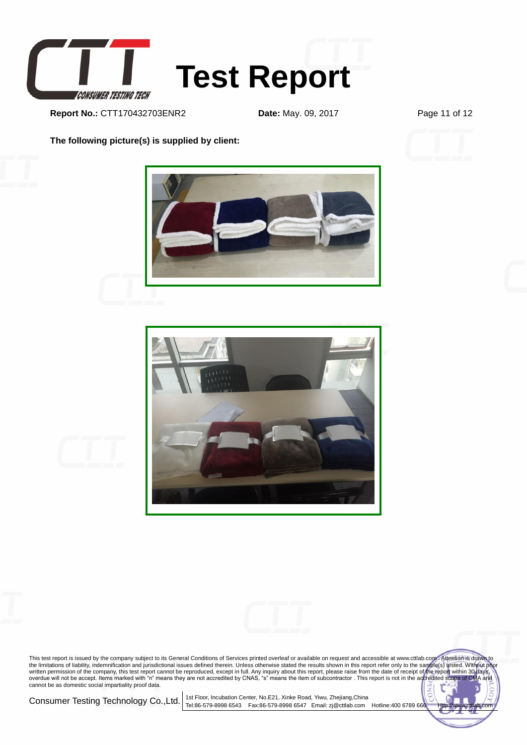

**Report No.:** CTT170432703ENR2 **Date:** May. 09, 2017 Page 11 of 12

**The following picture(s) is supplied by client:**









This test report is issued by the company subject to its General Conditions of Services printed overleaf or available on request and accessible at www.cttlab.com/. Attention is drawn to<br>the limitations of liability, indemn cannot be as domestic social impartiality proof data.